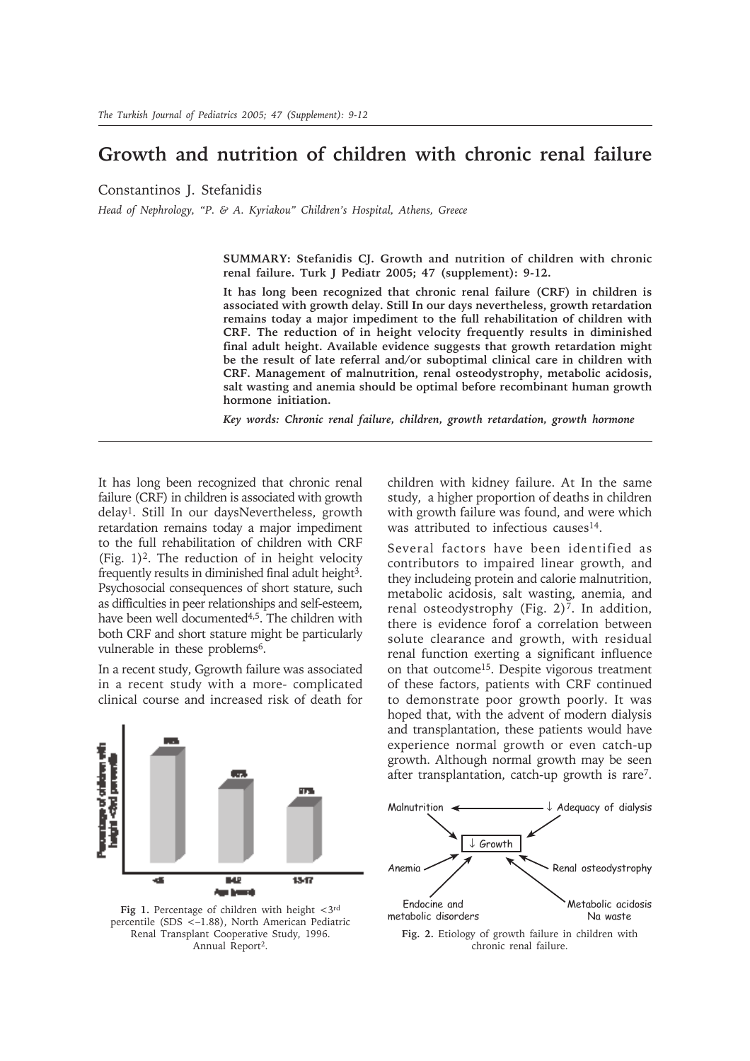## **Growth and nutrition of children with chronic renal failure**

Constantinos J. Stefanidis

*Head of Nephrology, "P. & A. Kyriakou" Children's Hospital, Athens, Greece*

**SUMMARY: Stefanidis CJ. Growth and nutrition of children with chronic renal failure. Turk J Pediatr 2005; 47 (supplement): 9-12.**

**It has long been recognized that chronic renal failure (CRF) in children is associated with growth delay. Still In our days nevertheless, growth retardation remains today a major impediment to the full rehabilitation of children with CRF. The reduction of in height velocity frequently results in diminished final adult height. Available evidence suggests that growth retardation might be the result of late referral and/or suboptimal clinical care in children with CRF. Management of malnutrition, renal osteodystrophy, metabolic acidosis, salt wasting and anemia should be optimal before recombinant human growth hormone initiation.** 

*Key words: Chronic renal failure, children, growth retardation, growth hormone*

It has long been recognized that chronic renal failure (CRF) in children is associated with growth delay1. Still In our daysNevertheless, growth retardation remains today a major impediment to the full rehabilitation of children with CRF (Fig.  $1$ )<sup>2</sup>. The reduction of in height velocity frequently results in diminished final adult height<sup>3</sup>. Psychosocial consequences of short stature, such as difficulties in peer relationships and self-esteem, have been well documented<sup>4,5</sup>. The children with both CRF and short stature might be particularly vulnerable in these problems<sup>6</sup>.

In a recent study, Ggrowth failure was associated in a recent study with a more- complicated clinical course and increased risk of death for



Several factors have been identified as contributors to impaired linear growth, and they includeing protein and calorie malnutrition, metabolic acidosis, salt wasting, anemia, and renal osteodystrophy (Fig.  $2$ )<sup>7</sup>. In addition, there is evidence forof a correlation between solute clearance and growth, with residual renal function exerting a significant influence on that outcome15. Despite vigorous treatment of these factors, patients with CRF continued to demonstrate poor growth poorly. It was hoped that, with the advent of modern dialysis and transplantation, these patients would have experience normal growth or even catch-up growth. Although normal growth may be seen after transplantation, catch-up growth is rare7.



Fig 1. Percentage of children with height <3rd percentile (SDS <–1.88), North American Pediatric Renal Transplant Cooperative Study, 1996. Annual Report<sup>2</sup>.



**Fig. 2.** Etiology of growth failure in children with chronic renal failure.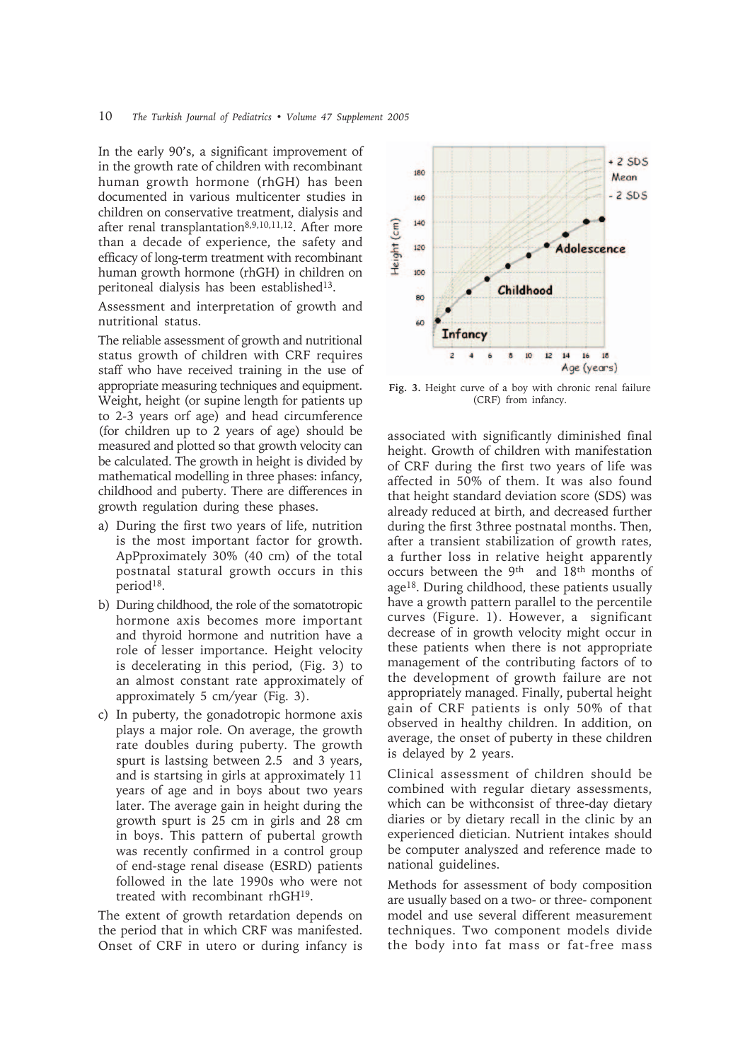In the early 90's, a significant improvement of in the growth rate of children with recombinant human growth hormone (rhGH) has been documented in various multicenter studies in children on conservative treatment, dialysis and after renal transplantation<sup>8,9,10,11,12</sup>. After more than a decade of experience, the safety and efficacy of long-term treatment with recombinant human growth hormone (rhGH) in children on peritoneal dialysis has been established<sup>13</sup>.

Assessment and interpretation of growth and nutritional status.

The reliable assessment of growth and nutritional status growth of children with CRF requires staff who have received training in the use of appropriate measuring techniques and equipment. Weight, height (or supine length for patients up to 2-3 years orf age) and head circumference (for children up to 2 years of age) should be measured and plotted so that growth velocity can be calculated. The growth in height is divided by mathematical modelling in three phases: infancy, childhood and puberty. There are differences in growth regulation during these phases.

- a) During the first two years of life, nutrition is the most important factor for growth. ApPproximately 30% (40 cm) of the total postnatal statural growth occurs in this period<sup>18</sup>.
- b) During childhood, the role of the somatotropic hormone axis becomes more important and thyroid hormone and nutrition have a role of lesser importance. Height velocity is decelerating in this period, (Fig. 3) to an almost constant rate approximately of approximately 5 cm/year (Fig. 3).
- c) In puberty, the gonadotropic hormone axis plays a major role. On average, the growth rate doubles during puberty. The growth spurt is lastsing between 2.5 and 3 years, and is startsing in girls at approximately 11 years of age and in boys about two years later. The average gain in height during the growth spurt is 25 cm in girls and 28 cm in boys. This pattern of pubertal growth was recently confirmed in a control group of end-stage renal disease (ESRD) patients followed in the late 1990s who were not treated with recombinant rhGH19.

The extent of growth retardation depends on the period that in which CRF was manifested. Onset of CRF in utero or during infancy is



**Fig. 3.** Height curve of a boy with chronic renal failure (CRF) from infancy.

associated with significantly diminished final height. Growth of children with manifestation of CRF during the first two years of life was affected in 50% of them. It was also found that height standard deviation score (SDS) was already reduced at birth, and decreased further during the first 3three postnatal months. Then, after a transient stabilization of growth rates, a further loss in relative height apparently occurs between the 9th and 18th months of age18. During childhood, these patients usually have a growth pattern parallel to the percentile curves (Figure. 1). However, a significant decrease of in growth velocity might occur in these patients when there is not appropriate management of the contributing factors of to the development of growth failure are not appropriately managed. Finally, pubertal height gain of CRF patients is only 50% of that observed in healthy children. In addition, on average, the onset of puberty in these children is delayed by 2 years.

Clinical assessment of children should be combined with regular dietary assessments, which can be withconsist of three-day dietary diaries or by dietary recall in the clinic by an experienced dietician. Nutrient intakes should be computer analyszed and reference made to national guidelines.

Methods for assessment of body composition are usually based on a two- or three- component model and use several different measurement techniques. Two component models divide the body into fat mass or fat-free mass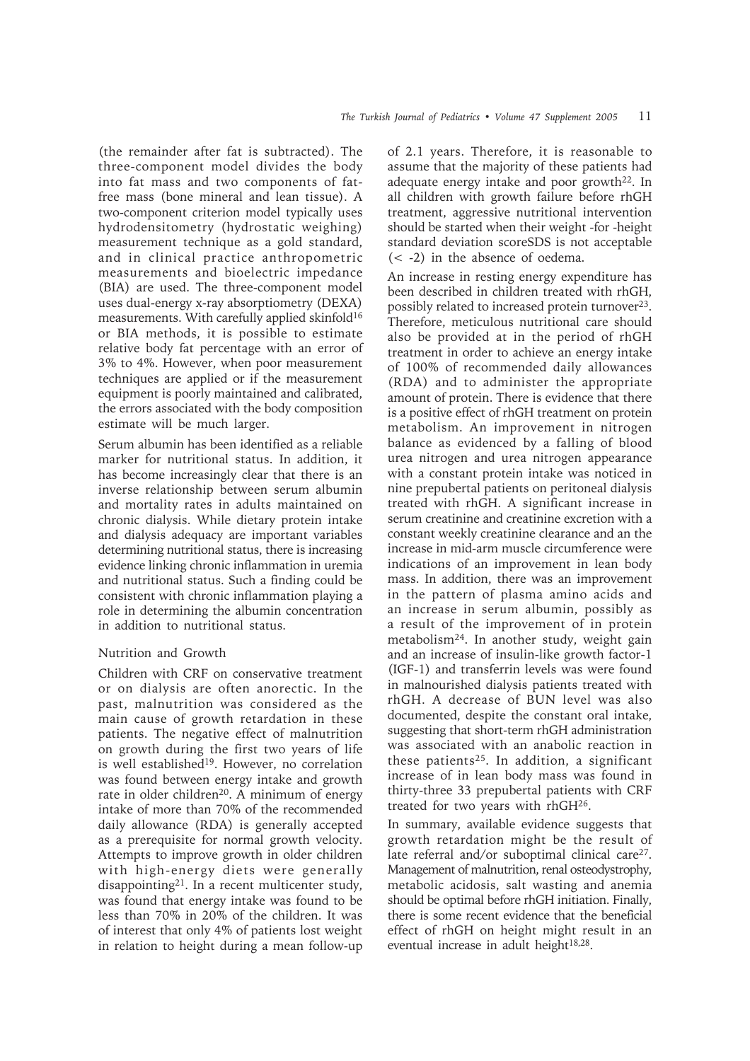(the remainder after fat is subtracted). The three-component model divides the body into fat mass and two components of fatfree mass (bone mineral and lean tissue). A two-component criterion model typically uses hydrodensitometry (hydrostatic weighing) measurement technique as a gold standard, and in clinical practice anthropometric measurements and bioelectric impedance (BIA) are used. The three-component model uses dual-energy x-ray absorptiometry (DEXA) measurements. With carefully applied skinfold<sup>16</sup> or BIA methods, it is possible to estimate relative body fat percentage with an error of 3% to 4%. However, when poor measurement techniques are applied or if the measurement equipment is poorly maintained and calibrated, the errors associated with the body composition estimate will be much larger.

Serum albumin has been identified as a reliable marker for nutritional status. In addition, it has become increasingly clear that there is an inverse relationship between serum albumin and mortality rates in adults maintained on chronic dialysis. While dietary protein intake and dialysis adequacy are important variables determining nutritional status, there is increasing evidence linking chronic inflammation in uremia and nutritional status. Such a finding could be consistent with chronic inflammation playing a role in determining the albumin concentration in addition to nutritional status.

## Nutrition and Growth

Children with CRF on conservative treatment or on dialysis are often anorectic. In the past, malnutrition was considered as the main cause of growth retardation in these patients. The negative effect of malnutrition on growth during the first two years of life is well established<sup>19</sup>. However, no correlation was found between energy intake and growth rate in older children<sup>20</sup>. A minimum of energy intake of more than 70% of the recommended daily allowance (RDA) is generally accepted as a prerequisite for normal growth velocity. Attempts to improve growth in older children with high-energy diets were generally disappointing21. In a recent multicenter study, was found that energy intake was found to be less than 70% in 20% of the children. It was of interest that only 4% of patients lost weight in relation to height during a mean follow-up

of 2.1 years. Therefore, it is reasonable to assume that the majority of these patients had adequate energy intake and poor growth<sup>22</sup>. In all children with growth failure before rhGH treatment, aggressive nutritional intervention should be started when their weight -for -height standard deviation scoreSDS is not acceptable (< -2) in the absence of oedema.

An increase in resting energy expenditure has been described in children treated with rhGH, possibly related to increased protein turnover<sup>23</sup>. Therefore, meticulous nutritional care should also be provided at in the period of rhGH treatment in order to achieve an energy intake of 100% of recommended daily allowances (RDA) and to administer the appropriate amount of protein. There is evidence that there is a positive effect of rhGH treatment on protein metabolism. An improvement in nitrogen balance as evidenced by a falling of blood urea nitrogen and urea nitrogen appearance with a constant protein intake was noticed in nine prepubertal patients on peritoneal dialysis treated with rhGH. A significant increase in serum creatinine and creatinine excretion with a constant weekly creatinine clearance and an the increase in mid-arm muscle circumference were indications of an improvement in lean body mass. In addition, there was an improvement in the pattern of plasma amino acids and an increase in serum albumin, possibly as a result of the improvement of in protein metabolism24. In another study, weight gain and an increase of insulin-like growth factor-1 (IGF-1) and transferrin levels was were found in malnourished dialysis patients treated with rhGH. A decrease of BUN level was also documented, despite the constant oral intake, suggesting that short-term rhGH administration was associated with an anabolic reaction in these patients25. In addition, a significant increase of in lean body mass was found in thirty-three 33 prepubertal patients with CRF treated for two years with rhGH26.

In summary, available evidence suggests that growth retardation might be the result of late referral and/or suboptimal clinical care<sup>27</sup>. Management of malnutrition, renal osteodystrophy, metabolic acidosis, salt wasting and anemia should be optimal before rhGH initiation. Finally, there is some recent evidence that the beneficial effect of rhGH on height might result in an eventual increase in adult height $18,28$ .